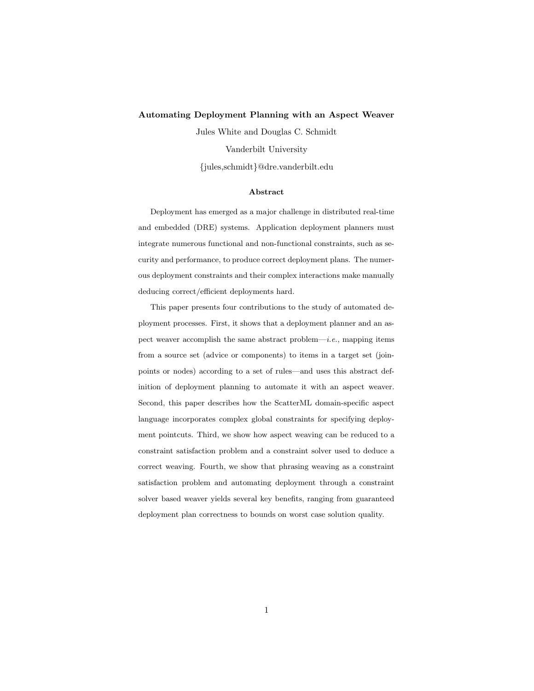#### Automating Deployment Planning with an Aspect Weaver

Jules White and Douglas C. Schmidt

Vanderbilt University

{jules,schmidt}@dre.vanderbilt.edu

#### Abstract

Deployment has emerged as a major challenge in distributed real-time and embedded (DRE) systems. Application deployment planners must integrate numerous functional and non-functional constraints, such as security and performance, to produce correct deployment plans. The numerous deployment constraints and their complex interactions make manually deducing correct/efficient deployments hard.

This paper presents four contributions to the study of automated deployment processes. First, it shows that a deployment planner and an aspect weaver accomplish the same abstract problem—*i.e.*, mapping items from a source set (advice or components) to items in a target set (joinpoints or nodes) according to a set of rules—and uses this abstract definition of deployment planning to automate it with an aspect weaver. Second, this paper describes how the ScatterML domain-specific aspect language incorporates complex global constraints for specifying deployment pointcuts. Third, we show how aspect weaving can be reduced to a constraint satisfaction problem and a constraint solver used to deduce a correct weaving. Fourth, we show that phrasing weaving as a constraint satisfaction problem and automating deployment through a constraint solver based weaver yields several key benefits, ranging from guaranteed deployment plan correctness to bounds on worst case solution quality.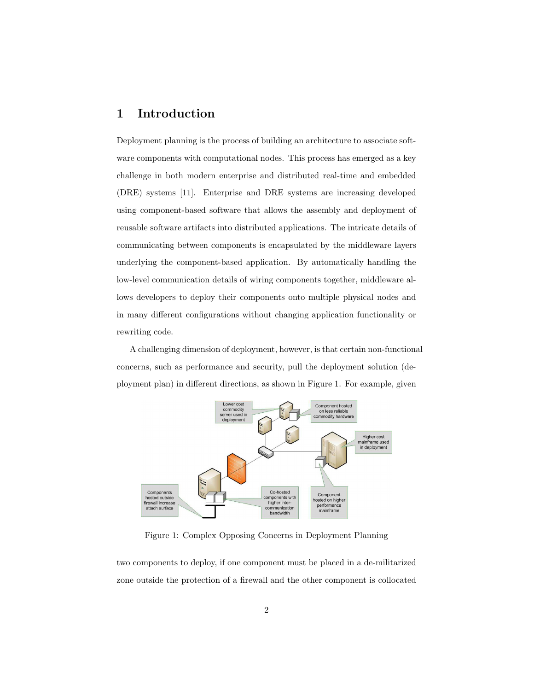# 1 Introduction

Deployment planning is the process of building an architecture to associate software components with computational nodes. This process has emerged as a key challenge in both modern enterprise and distributed real-time and embedded (DRE) systems [11]. Enterprise and DRE systems are increasing developed using component-based software that allows the assembly and deployment of reusable software artifacts into distributed applications. The intricate details of communicating between components is encapsulated by the middleware layers underlying the component-based application. By automatically handling the low-level communication details of wiring components together, middleware allows developers to deploy their components onto multiple physical nodes and in many different configurations without changing application functionality or rewriting code.

A challenging dimension of deployment, however, is that certain non-functional concerns, such as performance and security, pull the deployment solution (deployment plan) in different directions, as shown in Figure 1. For example, given



Figure 1: Complex Opposing Concerns in Deployment Planning

two components to deploy, if one component must be placed in a de-militarized zone outside the protection of a firewall and the other component is collocated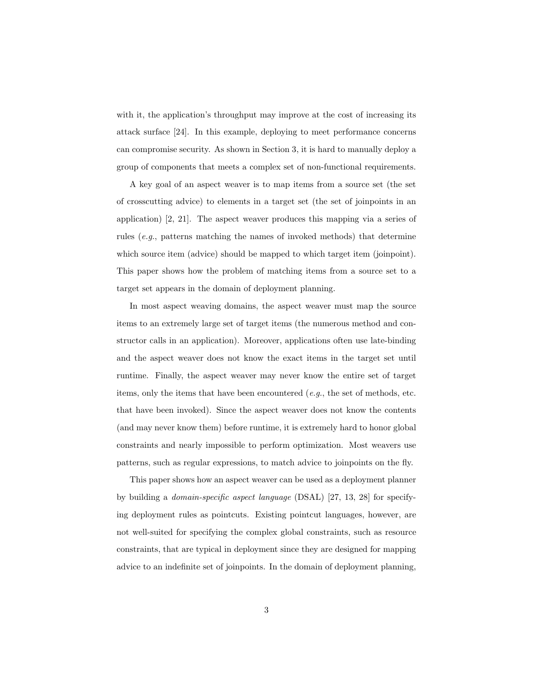with it, the application's throughput may improve at the cost of increasing its attack surface [24]. In this example, deploying to meet performance concerns can compromise security. As shown in Section 3, it is hard to manually deploy a group of components that meets a complex set of non-functional requirements.

A key goal of an aspect weaver is to map items from a source set (the set of crosscutting advice) to elements in a target set (the set of joinpoints in an application) [2, 21]. The aspect weaver produces this mapping via a series of rules (e.g., patterns matching the names of invoked methods) that determine which source item (advice) should be mapped to which target item (joinpoint). This paper shows how the problem of matching items from a source set to a target set appears in the domain of deployment planning.

In most aspect weaving domains, the aspect weaver must map the source items to an extremely large set of target items (the numerous method and constructor calls in an application). Moreover, applications often use late-binding and the aspect weaver does not know the exact items in the target set until runtime. Finally, the aspect weaver may never know the entire set of target items, only the items that have been encountered  $(e.g., the set of methods, etc.$ that have been invoked). Since the aspect weaver does not know the contents (and may never know them) before runtime, it is extremely hard to honor global constraints and nearly impossible to perform optimization. Most weavers use patterns, such as regular expressions, to match advice to joinpoints on the fly.

This paper shows how an aspect weaver can be used as a deployment planner by building a domain-specific aspect language (DSAL) [27, 13, 28] for specifying deployment rules as pointcuts. Existing pointcut languages, however, are not well-suited for specifying the complex global constraints, such as resource constraints, that are typical in deployment since they are designed for mapping advice to an indefinite set of joinpoints. In the domain of deployment planning,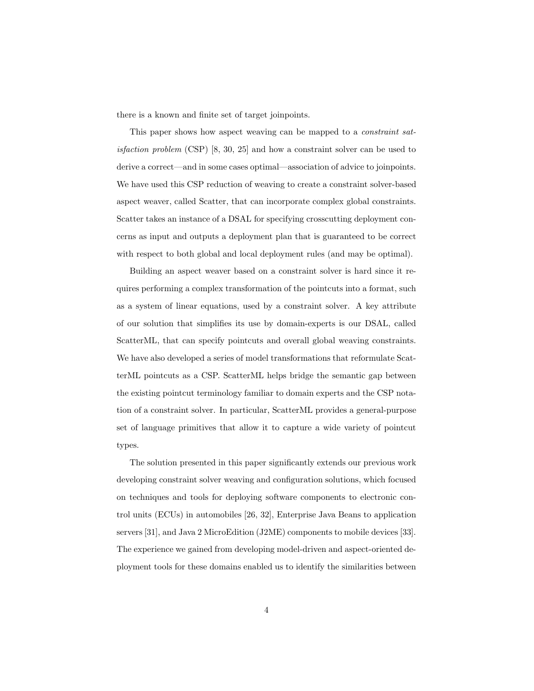there is a known and finite set of target joinpoints.

This paper shows how aspect weaving can be mapped to a constraint satisfaction problem (CSP) [8, 30, 25] and how a constraint solver can be used to derive a correct—and in some cases optimal—association of advice to joinpoints. We have used this CSP reduction of weaving to create a constraint solver-based aspect weaver, called Scatter, that can incorporate complex global constraints. Scatter takes an instance of a DSAL for specifying crosscutting deployment concerns as input and outputs a deployment plan that is guaranteed to be correct with respect to both global and local deployment rules (and may be optimal).

Building an aspect weaver based on a constraint solver is hard since it requires performing a complex transformation of the pointcuts into a format, such as a system of linear equations, used by a constraint solver. A key attribute of our solution that simplifies its use by domain-experts is our DSAL, called ScatterML, that can specify pointcuts and overall global weaving constraints. We have also developed a series of model transformations that reformulate ScatterML pointcuts as a CSP. ScatterML helps bridge the semantic gap between the existing pointcut terminology familiar to domain experts and the CSP notation of a constraint solver. In particular, ScatterML provides a general-purpose set of language primitives that allow it to capture a wide variety of pointcut types.

The solution presented in this paper significantly extends our previous work developing constraint solver weaving and configuration solutions, which focused on techniques and tools for deploying software components to electronic control units (ECUs) in automobiles [26, 32], Enterprise Java Beans to application servers [31], and Java 2 MicroEdition (J2ME) components to mobile devices [33]. The experience we gained from developing model-driven and aspect-oriented deployment tools for these domains enabled us to identify the similarities between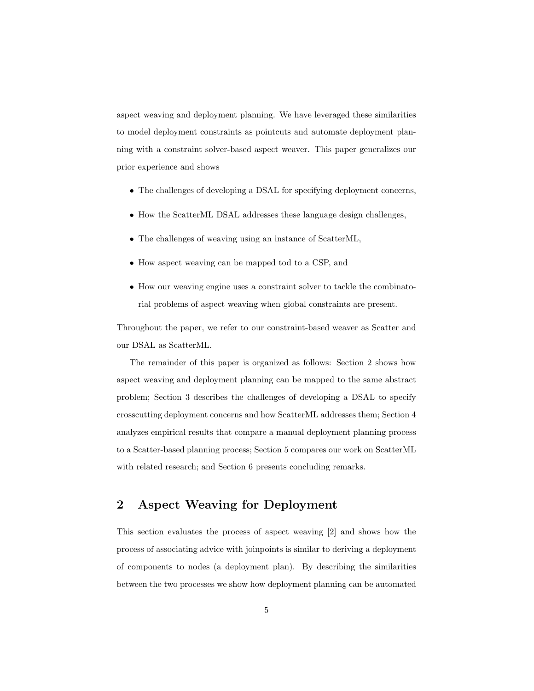aspect weaving and deployment planning. We have leveraged these similarities to model deployment constraints as pointcuts and automate deployment planning with a constraint solver-based aspect weaver. This paper generalizes our prior experience and shows

- The challenges of developing a DSAL for specifying deployment concerns,
- How the ScatterML DSAL addresses these language design challenges,
- The challenges of weaving using an instance of ScatterML,
- How aspect weaving can be mapped tod to a CSP, and
- How our weaving engine uses a constraint solver to tackle the combinatorial problems of aspect weaving when global constraints are present.

Throughout the paper, we refer to our constraint-based weaver as Scatter and our DSAL as ScatterML.

The remainder of this paper is organized as follows: Section 2 shows how aspect weaving and deployment planning can be mapped to the same abstract problem; Section 3 describes the challenges of developing a DSAL to specify crosscutting deployment concerns and how ScatterML addresses them; Section 4 analyzes empirical results that compare a manual deployment planning process to a Scatter-based planning process; Section 5 compares our work on ScatterML with related research; and Section 6 presents concluding remarks.

# 2 Aspect Weaving for Deployment

This section evaluates the process of aspect weaving [2] and shows how the process of associating advice with joinpoints is similar to deriving a deployment of components to nodes (a deployment plan). By describing the similarities between the two processes we show how deployment planning can be automated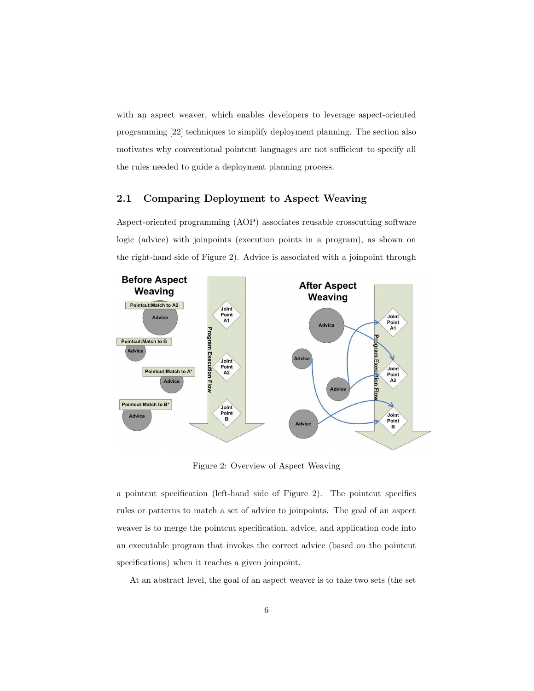with an aspect weaver, which enables developers to leverage aspect-oriented programming [22] techniques to simplify deployment planning. The section also motivates why conventional pointcut languages are not sufficient to specify all the rules needed to guide a deployment planning process.

## 2.1 Comparing Deployment to Aspect Weaving

Aspect-oriented programming (AOP) associates reusable crosscutting software logic (advice) with joinpoints (execution points in a program), as shown on the right-hand side of Figure 2). Advice is associated with a joinpoint through



Figure 2: Overview of Aspect Weaving

a pointcut specification (left-hand side of Figure 2). The pointcut specifies rules or patterns to match a set of advice to joinpoints. The goal of an aspect weaver is to merge the pointcut specification, advice, and application code into an executable program that invokes the correct advice (based on the pointcut specifications) when it reaches a given joinpoint.

At an abstract level, the goal of an aspect weaver is to take two sets (the set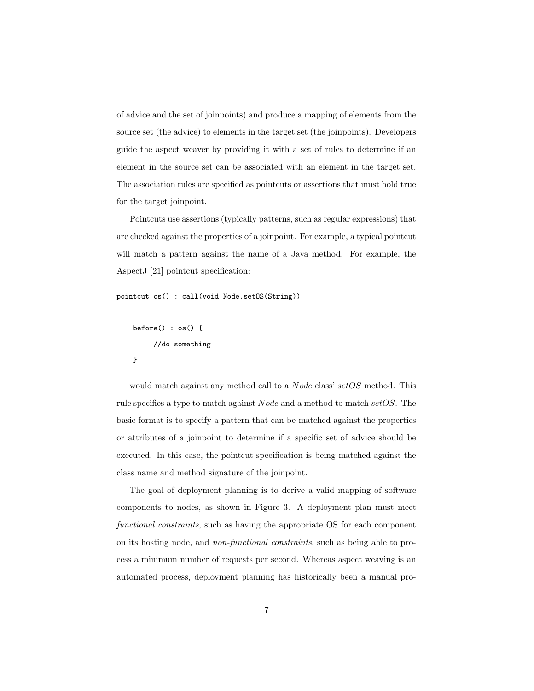of advice and the set of joinpoints) and produce a mapping of elements from the source set (the advice) to elements in the target set (the joinpoints). Developers guide the aspect weaver by providing it with a set of rules to determine if an element in the source set can be associated with an element in the target set. The association rules are specified as pointcuts or assertions that must hold true for the target joinpoint.

Pointcuts use assertions (typically patterns, such as regular expressions) that are checked against the properties of a joinpoint. For example, a typical pointcut will match a pattern against the name of a Java method. For example, the AspectJ [21] pointcut specification:

```
pointcut os() : call(void Node.setOS(String))
```

```
before() : os() {//do something
}
```
would match against any method call to a *Node* class' setOS method. This rule specifies a type to match against Node and a method to match setOS. The basic format is to specify a pattern that can be matched against the properties or attributes of a joinpoint to determine if a specific set of advice should be executed. In this case, the pointcut specification is being matched against the class name and method signature of the joinpoint.

The goal of deployment planning is to derive a valid mapping of software components to nodes, as shown in Figure 3. A deployment plan must meet functional constraints, such as having the appropriate OS for each component on its hosting node, and non-functional constraints, such as being able to process a minimum number of requests per second. Whereas aspect weaving is an automated process, deployment planning has historically been a manual pro-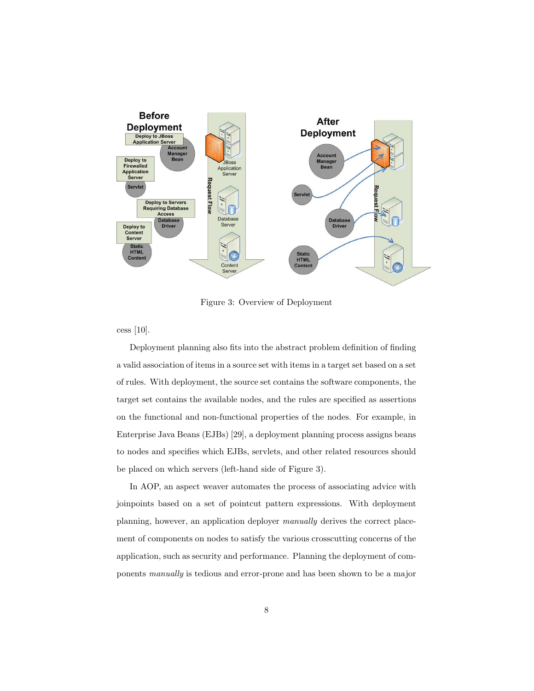

Figure 3: Overview of Deployment

cess [10].

Deployment planning also fits into the abstract problem definition of finding a valid association of items in a source set with items in a target set based on a set of rules. With deployment, the source set contains the software components, the target set contains the available nodes, and the rules are specified as assertions on the functional and non-functional properties of the nodes. For example, in Enterprise Java Beans (EJBs) [29], a deployment planning process assigns beans to nodes and specifies which EJBs, servlets, and other related resources should be placed on which servers (left-hand side of Figure 3).

In AOP, an aspect weaver automates the process of associating advice with joinpoints based on a set of pointcut pattern expressions. With deployment planning, however, an application deployer manually derives the correct placement of components on nodes to satisfy the various crosscutting concerns of the application, such as security and performance. Planning the deployment of components manually is tedious and error-prone and has been shown to be a major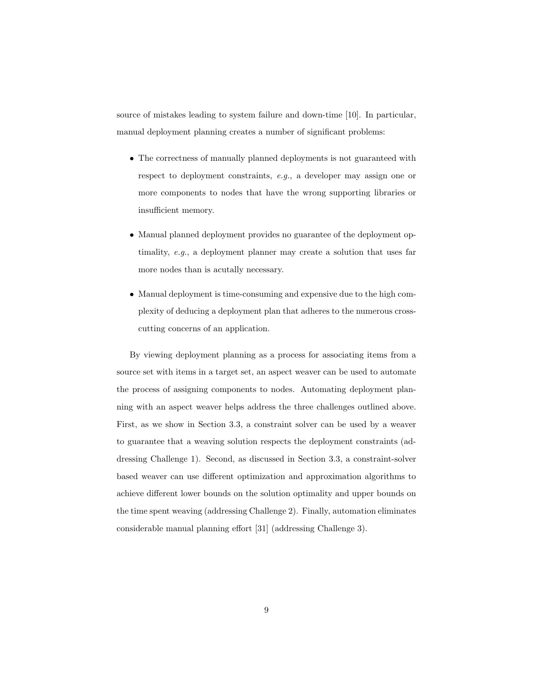source of mistakes leading to system failure and down-time [10]. In particular, manual deployment planning creates a number of significant problems:

- The correctness of manually planned deployments is not guaranteed with respect to deployment constraints, e.g., a developer may assign one or more components to nodes that have the wrong supporting libraries or insufficient memory.
- Manual planned deployment provides no guarantee of the deployment optimality, e.g., a deployment planner may create a solution that uses far more nodes than is acutally necessary.
- Manual deployment is time-consuming and expensive due to the high complexity of deducing a deployment plan that adheres to the numerous crosscutting concerns of an application.

By viewing deployment planning as a process for associating items from a source set with items in a target set, an aspect weaver can be used to automate the process of assigning components to nodes. Automating deployment planning with an aspect weaver helps address the three challenges outlined above. First, as we show in Section 3.3, a constraint solver can be used by a weaver to guarantee that a weaving solution respects the deployment constraints (addressing Challenge 1). Second, as discussed in Section 3.3, a constraint-solver based weaver can use different optimization and approximation algorithms to achieve different lower bounds on the solution optimality and upper bounds on the time spent weaving (addressing Challenge 2). Finally, automation eliminates considerable manual planning effort [31] (addressing Challenge 3).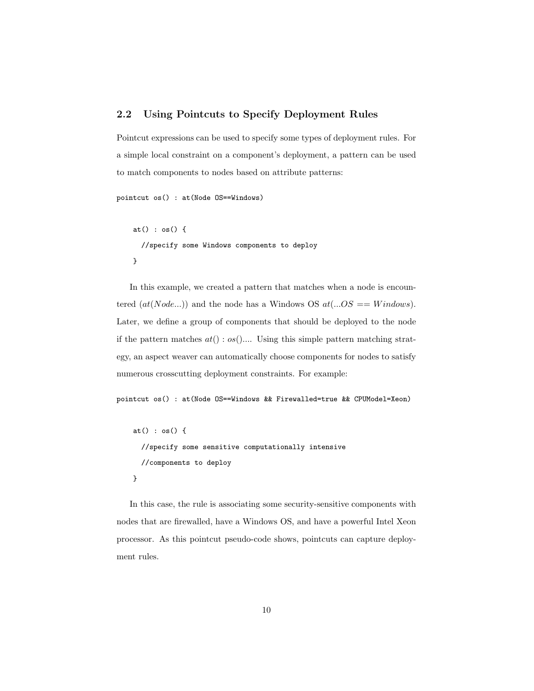## 2.2 Using Pointcuts to Specify Deployment Rules

Pointcut expressions can be used to specify some types of deployment rules. For a simple local constraint on a component's deployment, a pattern can be used to match components to nodes based on attribute patterns:

```
pointcut os() : at(Node OS==Windows)
```

```
at() : os() {
  //specify some Windows components to deploy
}
```
In this example, we created a pattern that matches when a node is encountered  $(at(Node...))$  and the node has a Windows OS  $at(...OS == Windows).$ Later, we define a group of components that should be deployed to the node if the pattern matches  $at() : os( )...$  Using this simple pattern matching strategy, an aspect weaver can automatically choose components for nodes to satisfy numerous crosscutting deployment constraints. For example:

pointcut os() : at(Node OS==Windows && Firewalled=true && CPUModel=Xeon)

```
at() : os() {
  //specify some sensitive computationally intensive
  //components to deploy
}
```
In this case, the rule is associating some security-sensitive components with nodes that are firewalled, have a Windows OS, and have a powerful Intel Xeon processor. As this pointcut pseudo-code shows, pointcuts can capture deployment rules.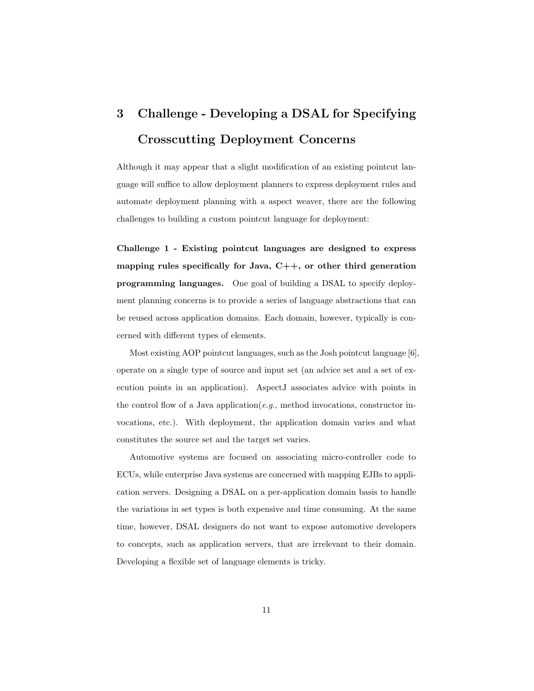# 3 Challenge - Developing a DSAL for Specifying Crosscutting Deployment Concerns

Although it may appear that a slight modification of an existing pointcut language will suffice to allow deployment planners to express deployment rules and automate deployment planning with a aspect weaver, there are the following challenges to building a custom pointcut language for deployment:

Challenge 1 - Existing pointcut languages are designed to express mapping rules specifically for Java,  $C++$ , or other third generation programming languages. One goal of building a DSAL to specify deployment planning concerns is to provide a series of language abstractions that can be reused across application domains. Each domain, however, typically is concerned with different types of elements.

Most existing AOP pointcut languages, such as the Josh pointcut language [6], operate on a single type of source and input set (an advice set and a set of execution points in an application). AspectJ associates advice with points in the control flow of a Java application(e.g., method invocations, constructor invocations, etc.). With deployment, the application domain varies and what constitutes the source set and the target set varies.

Automotive systems are focused on associating micro-controller code to ECUs, while enterprise Java systems are concerned with mapping EJBs to application servers. Designing a DSAL on a per-application domain basis to handle the variations in set types is both expensive and time consuming. At the same time, however, DSAL designers do not want to expose automotive developers to concepts, such as application servers, that are irrelevant to their domain. Developing a flexible set of language elements is tricky.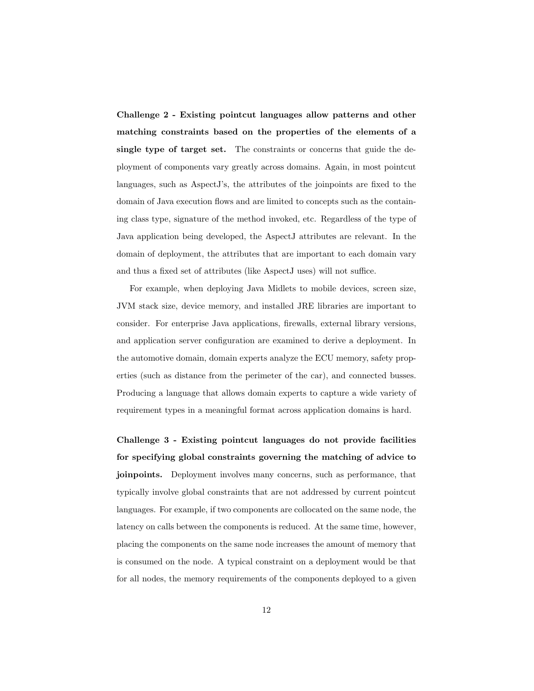Challenge 2 - Existing pointcut languages allow patterns and other matching constraints based on the properties of the elements of a single type of target set. The constraints or concerns that guide the deployment of components vary greatly across domains. Again, in most pointcut languages, such as AspectJ's, the attributes of the joinpoints are fixed to the domain of Java execution flows and are limited to concepts such as the containing class type, signature of the method invoked, etc. Regardless of the type of Java application being developed, the AspectJ attributes are relevant. In the domain of deployment, the attributes that are important to each domain vary and thus a fixed set of attributes (like AspectJ uses) will not suffice.

For example, when deploying Java Midlets to mobile devices, screen size, JVM stack size, device memory, and installed JRE libraries are important to consider. For enterprise Java applications, firewalls, external library versions, and application server configuration are examined to derive a deployment. In the automotive domain, domain experts analyze the ECU memory, safety properties (such as distance from the perimeter of the car), and connected busses. Producing a language that allows domain experts to capture a wide variety of requirement types in a meaningful format across application domains is hard.

Challenge 3 - Existing pointcut languages do not provide facilities for specifying global constraints governing the matching of advice to joinpoints. Deployment involves many concerns, such as performance, that typically involve global constraints that are not addressed by current pointcut languages. For example, if two components are collocated on the same node, the latency on calls between the components is reduced. At the same time, however, placing the components on the same node increases the amount of memory that is consumed on the node. A typical constraint on a deployment would be that for all nodes, the memory requirements of the components deployed to a given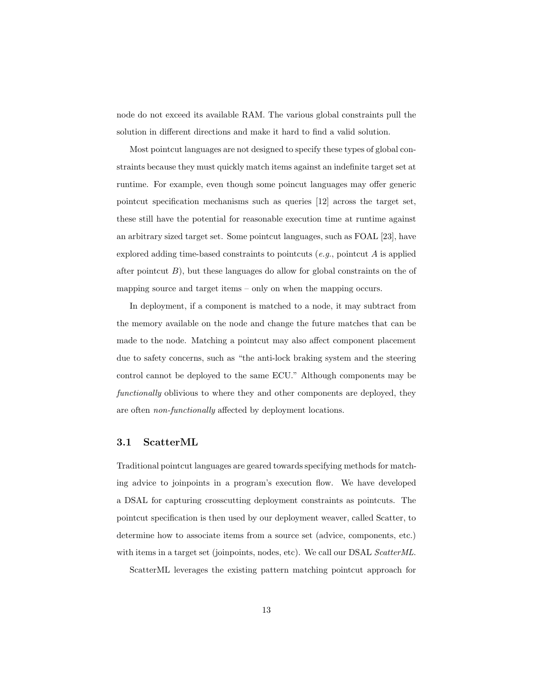node do not exceed its available RAM. The various global constraints pull the solution in different directions and make it hard to find a valid solution.

Most pointcut languages are not designed to specify these types of global constraints because they must quickly match items against an indefinite target set at runtime. For example, even though some poincut languages may offer generic pointcut specification mechanisms such as queries [12] across the target set, these still have the potential for reasonable execution time at runtime against an arbitrary sized target set. Some pointcut languages, such as FOAL [23], have explored adding time-based constraints to pointcuts  $(e.g.,$  pointcut A is applied after pointcut  $B$ ), but these languages do allow for global constraints on the of mapping source and target items – only on when the mapping occurs.

In deployment, if a component is matched to a node, it may subtract from the memory available on the node and change the future matches that can be made to the node. Matching a pointcut may also affect component placement due to safety concerns, such as "the anti-lock braking system and the steering control cannot be deployed to the same ECU." Although components may be functionally oblivious to where they and other components are deployed, they are often non-functionally affected by deployment locations.

#### 3.1 ScatterML

Traditional pointcut languages are geared towards specifying methods for matching advice to joinpoints in a program's execution flow. We have developed a DSAL for capturing crosscutting deployment constraints as pointcuts. The pointcut specification is then used by our deployment weaver, called Scatter, to determine how to associate items from a source set (advice, components, etc.) with items in a target set (joinpoints, nodes, etc). We call our DSAL ScatterML.

ScatterML leverages the existing pattern matching pointcut approach for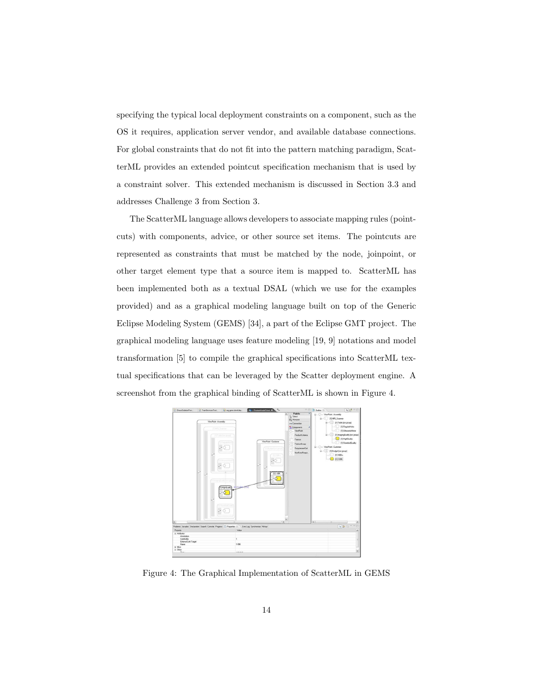specifying the typical local deployment constraints on a component, such as the OS it requires, application server vendor, and available database connections. For global constraints that do not fit into the pattern matching paradigm, ScatterML provides an extended pointcut specification mechanism that is used by a constraint solver. This extended mechanism is discussed in Section 3.3 and addresses Challenge 3 from Section 3.

The ScatterML language allows developers to associate mapping rules (pointcuts) with components, advice, or other source set items. The pointcuts are represented as constraints that must be matched by the node, joinpoint, or other target element type that a source item is mapped to. ScatterML has been implemented both as a textual DSAL (which we use for the examples provided) and as a graphical modeling language built on top of the Generic Eclipse Modeling System (GEMS) [34], a part of the Eclipse GMT project. The graphical modeling language uses feature modeling [19, 9] notations and model transformation [5] to compile the graphical specifications into ScatterML textual specifications that can be leveraged by the Scatter deployment engine. A screenshot from the graphical binding of ScatterML is shown in Figure 4.



Figure 4: The Graphical Implementation of ScatterML in GEMS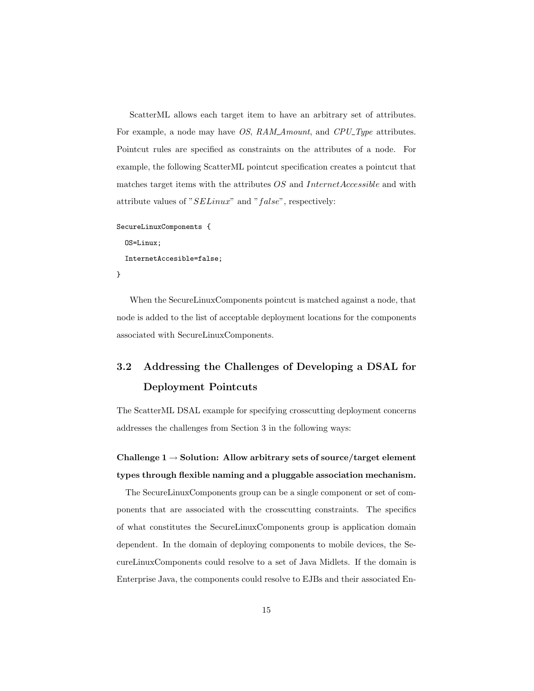ScatterML allows each target item to have an arbitrary set of attributes. For example, a node may have *OS*, RAM Amount, and *CPU* Type attributes. Pointcut rules are specified as constraints on the attributes of a node. For example, the following ScatterML pointcut specification creates a pointcut that matches target items with the attributes  $OS$  and InternetAccessible and with attribute values of "SELinux" and "false", respectively:

```
SecureLinuxComponents {
```

```
OS=Linux;
  InternetAccesible=false;
}
```
When the SecureLinuxComponents pointcut is matched against a node, that node is added to the list of acceptable deployment locations for the components associated with SecureLinuxComponents.

# 3.2 Addressing the Challenges of Developing a DSAL for Deployment Pointcuts

The ScatterML DSAL example for specifying crosscutting deployment concerns addresses the challenges from Section 3 in the following ways:

# Challenge  $1 \rightarrow$  Solution: Allow arbitrary sets of source/target element types through flexible naming and a pluggable association mechanism.

The SecureLinuxComponents group can be a single component or set of components that are associated with the crosscutting constraints. The specifics of what constitutes the SecureLinuxComponents group is application domain dependent. In the domain of deploying components to mobile devices, the SecureLinuxComponents could resolve to a set of Java Midlets. If the domain is Enterprise Java, the components could resolve to EJBs and their associated En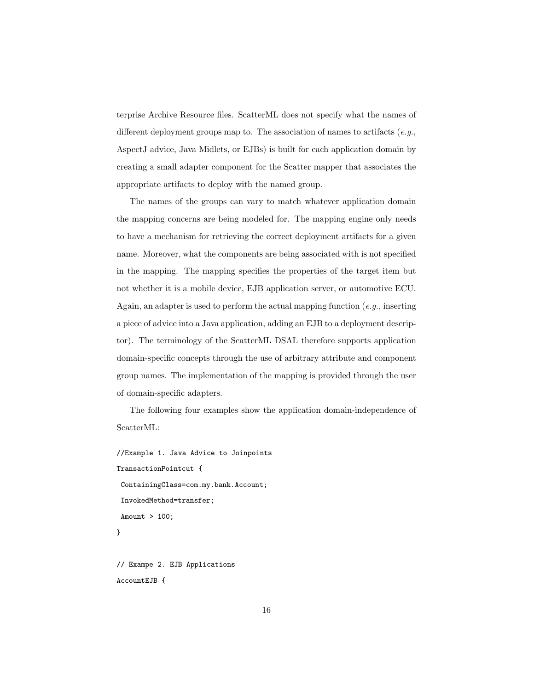terprise Archive Resource files. ScatterML does not specify what the names of different deployment groups map to. The association of names to artifacts  $(e.g.,$ AspectJ advice, Java Midlets, or EJBs) is built for each application domain by creating a small adapter component for the Scatter mapper that associates the appropriate artifacts to deploy with the named group.

The names of the groups can vary to match whatever application domain the mapping concerns are being modeled for. The mapping engine only needs to have a mechanism for retrieving the correct deployment artifacts for a given name. Moreover, what the components are being associated with is not specified in the mapping. The mapping specifies the properties of the target item but not whether it is a mobile device, EJB application server, or automotive ECU. Again, an adapter is used to perform the actual mapping function  $(e.g.,$  inserting a piece of advice into a Java application, adding an EJB to a deployment descriptor). The terminology of the ScatterML DSAL therefore supports application domain-specific concepts through the use of arbitrary attribute and component group names. The implementation of the mapping is provided through the user of domain-specific adapters.

The following four examples show the application domain-independence of ScatterML:

```
//Example 1. Java Advice to Joinpoints
TransactionPointcut {
ContainingClass=com.my.bank.Account;
InvokedMethod=transfer;
Amount > 100:
}
```
// Exampe 2. EJB Applications AccountEJB {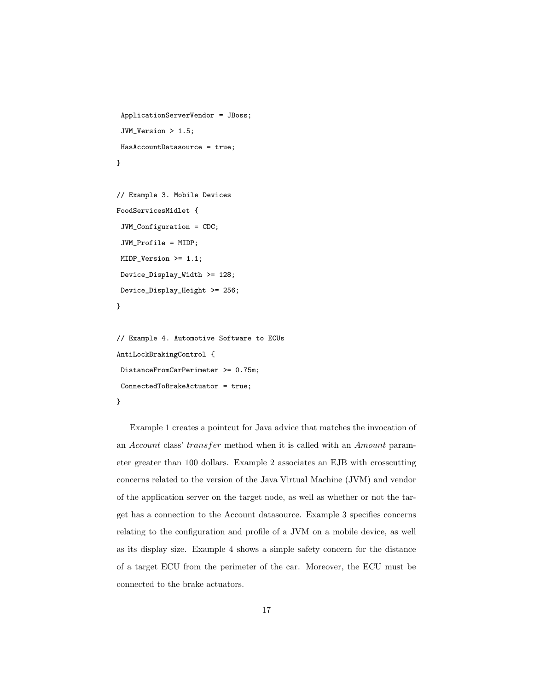```
ApplicationServerVendor = JBoss;
 JVM_Version > 1.5;
HasAccountDatasource = true;
}
```

```
// Example 3. Mobile Devices
FoodServicesMidlet {
 JVM_Configuration = CDC;
 JVM_Profile = MIDP;
MIDP_Version >= 1.1;
Device_Display_Width >= 128;
Device_Display_Height >= 256;
}
```

```
// Example 4. Automotive Software to ECUs
AntiLockBrakingControl {
DistanceFromCarPerimeter >= 0.75m;
ConnectedToBrakeActuator = true;
}
```
Example 1 creates a pointcut for Java advice that matches the invocation of an Account class' transfer method when it is called with an Amount parameter greater than 100 dollars. Example 2 associates an EJB with crosscutting concerns related to the version of the Java Virtual Machine (JVM) and vendor of the application server on the target node, as well as whether or not the target has a connection to the Account datasource. Example 3 specifies concerns relating to the configuration and profile of a JVM on a mobile device, as well as its display size. Example 4 shows a simple safety concern for the distance of a target ECU from the perimeter of the car. Moreover, the ECU must be connected to the brake actuators.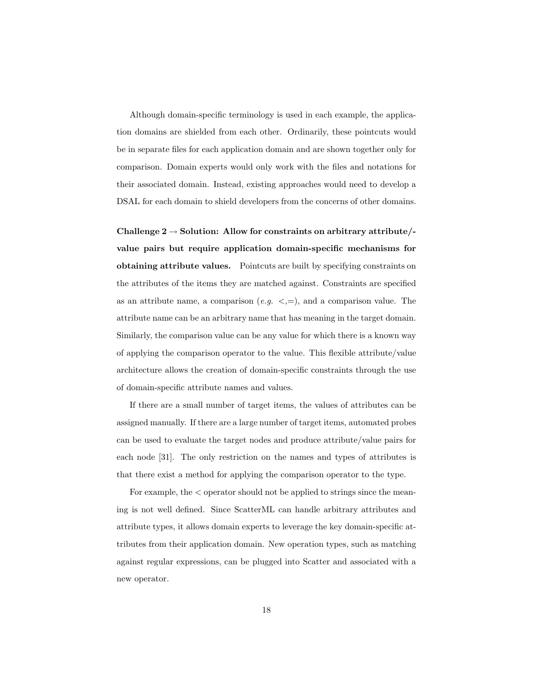Although domain-specific terminology is used in each example, the application domains are shielded from each other. Ordinarily, these pointcuts would be in separate files for each application domain and are shown together only for comparison. Domain experts would only work with the files and notations for their associated domain. Instead, existing approaches would need to develop a DSAL for each domain to shield developers from the concerns of other domains.

Challenge  $2 \rightarrow$  Solution: Allow for constraints on arbitrary attribute/value pairs but require application domain-specific mechanisms for obtaining attribute values. Pointcuts are built by specifying constraints on the attributes of the items they are matched against. Constraints are specified as an attribute name, a comparison  $(e.g. \leq, =)$ , and a comparison value. The attribute name can be an arbitrary name that has meaning in the target domain. Similarly, the comparison value can be any value for which there is a known way of applying the comparison operator to the value. This flexible attribute/value architecture allows the creation of domain-specific constraints through the use of domain-specific attribute names and values.

If there are a small number of target items, the values of attributes can be assigned manually. If there are a large number of target items, automated probes can be used to evaluate the target nodes and produce attribute/value pairs for each node [31]. The only restriction on the names and types of attributes is that there exist a method for applying the comparison operator to the type.

For example, the < operator should not be applied to strings since the meaning is not well defined. Since ScatterML can handle arbitrary attributes and attribute types, it allows domain experts to leverage the key domain-specific attributes from their application domain. New operation types, such as matching against regular expressions, can be plugged into Scatter and associated with a new operator.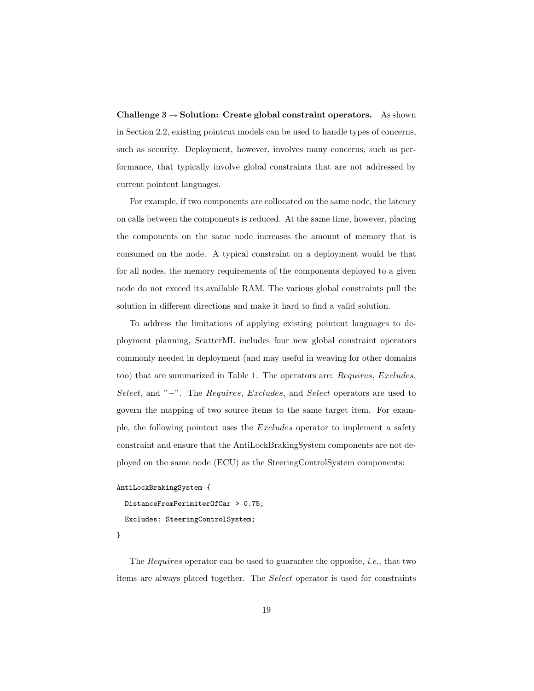Challenge  $3 \rightarrow$  Solution: Create global constraint operators. As shown in Section 2.2, existing pointcut models can be used to handle types of concerns, such as security. Deployment, however, involves many concerns, such as performance, that typically involve global constraints that are not addressed by current pointcut languages.

For example, if two components are collocated on the same node, the latency on calls between the components is reduced. At the same time, however, placing the components on the same node increases the amount of memory that is consumed on the node. A typical constraint on a deployment would be that for all nodes, the memory requirements of the components deployed to a given node do not exceed its available RAM. The various global constraints pull the solution in different directions and make it hard to find a valid solution.

To address the limitations of applying existing pointcut languages to deployment planning, ScatterML includes four new global constraint operators commonly needed in deployment (and may useful in weaving for other domains too) that are summarized in Table 1. The operators are: Requires, Excludes, Select, and "−". The Requires, Excludes, and Select operators are used to govern the mapping of two source items to the same target item. For example, the following pointcut uses the Excludes operator to implement a safety constraint and ensure that the AntiLockBrakingSystem components are not deployed on the same node (ECU) as the SteeringControlSystem components:

```
AntiLockBrakingSystem {
```

```
DistanceFromPerimiterOfCar > 0.75;
```

```
Excludes: SteeringControlSystem;
```
}

The Requires operator can be used to guarantee the opposite, i.e., that two items are always placed together. The Select operator is used for constraints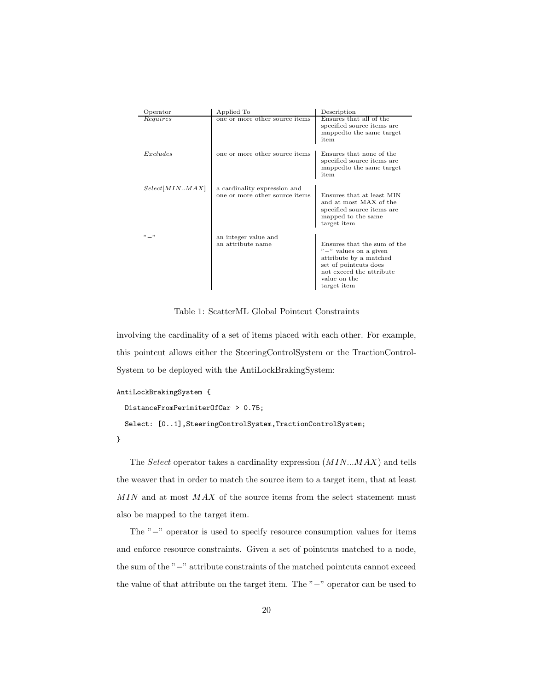| Operator       | Applied To                                                     | Description                                                                                                                                                           |
|----------------|----------------------------------------------------------------|-----------------------------------------------------------------------------------------------------------------------------------------------------------------------|
| Requires       | one or more other source items                                 | Ensures that all of the<br>specified source items are<br>mapped to the same target<br>item                                                                            |
| Excludes       | one or more other source items                                 | Ensures that none of the<br>specified source items are<br>mapped to the same target<br>item                                                                           |
| Select[MINMAX] | a cardinality expression and<br>one or more other source items | Ensures that at least MIN<br>and at most MAX of the<br>specified source items are<br>mapped to the same<br>target item                                                |
| $" -"$         | an integer value and<br>an attribute name                      | Ensures that the sum of the<br>$" -"$ values on a given<br>attribute by a matched<br>set of pointcuts does<br>not exceed the attribute<br>value on the<br>target item |

Table 1: ScatterML Global Pointcut Constraints

involving the cardinality of a set of items placed with each other. For example, this pointcut allows either the SteeringControlSystem or the TractionControl-System to be deployed with the AntiLockBrakingSystem:

```
AntiLockBrakingSystem {
```

```
DistanceFromPerimiterOfCar > 0.75;
  Select: [0..1], SteeringControlSystem, TractionControlSystem;
}
```
The Select operator takes a cardinality expression (MIN...MAX) and tells the weaver that in order to match the source item to a target item, that at least  $MIN$  and at most  $MAX$  of the source items from the select statement must also be mapped to the target item.

The "−" operator is used to specify resource consumption values for items and enforce resource constraints. Given a set of pointcuts matched to a node, the sum of the "−" attribute constraints of the matched pointcuts cannot exceed the value of that attribute on the target item. The "−" operator can be used to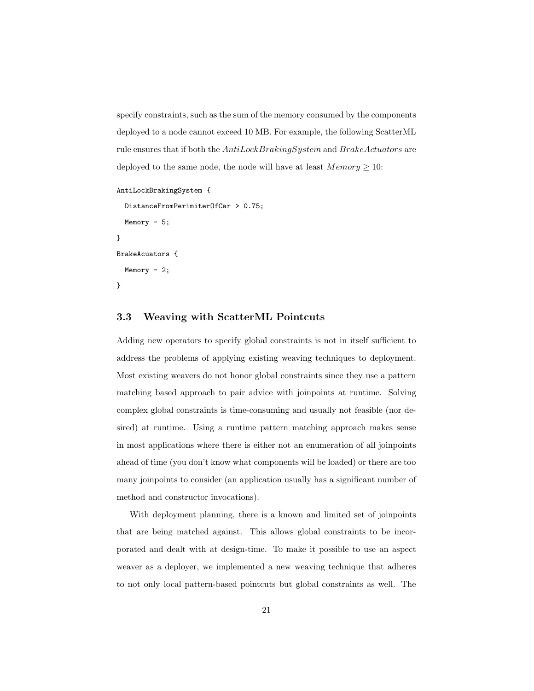specify constraints, such as the sum of the memory consumed by the components deployed to a node cannot exceed 10 MB. For example, the following ScatterML rule ensures that if both the AntiLockBrakingSystem and BrakeActuators are deployed to the same node, the node will have at least  $Memory \geq 10$ :

```
AntiLockBrakingSystem {
  DistanceFromPerimiterOfCar > 0.75;
  Memory - 5;
}
BrakeAcuators {
  Memory - 2;
}
```
#### 3.3 Weaving with ScatterML Pointcuts

Adding new operators to specify global constraints is not in itself sufficient to address the problems of applying existing weaving techniques to deployment. Most existing weavers do not honor global constraints since they use a pattern matching based approach to pair advice with joinpoints at runtime. Solving complex global constraints is time-consuming and usually not feasible (nor desired) at runtime. Using a runtime pattern matching approach makes sense in most applications where there is either not an enumeration of all joinpoints ahead of time (you don't know what components will be loaded) or there are too many joinpoints to consider (an application usually has a significant number of method and constructor invocations).

With deployment planning, there is a known and limited set of joinpoints that are being matched against. This allows global constraints to be incorporated and dealt with at design-time. To make it possible to use an aspect weaver as a deployer, we implemented a new weaving technique that adheres to not only local pattern-based pointcuts but global constraints as well. The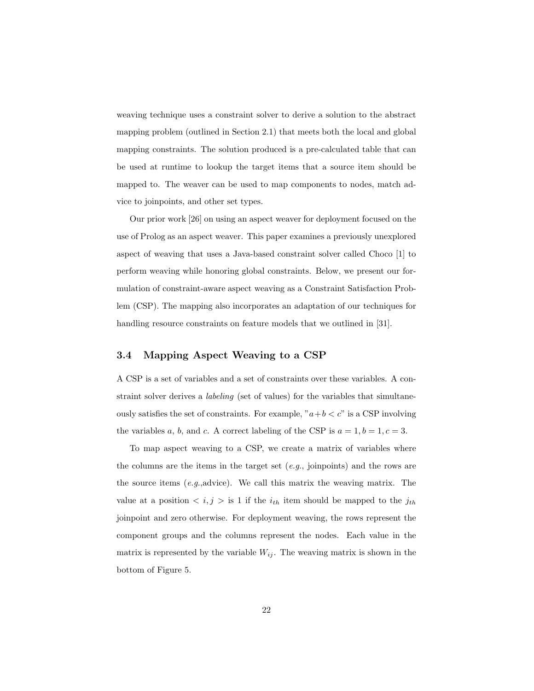weaving technique uses a constraint solver to derive a solution to the abstract mapping problem (outlined in Section 2.1) that meets both the local and global mapping constraints. The solution produced is a pre-calculated table that can be used at runtime to lookup the target items that a source item should be mapped to. The weaver can be used to map components to nodes, match advice to joinpoints, and other set types.

Our prior work [26] on using an aspect weaver for deployment focused on the use of Prolog as an aspect weaver. This paper examines a previously unexplored aspect of weaving that uses a Java-based constraint solver called Choco [1] to perform weaving while honoring global constraints. Below, we present our formulation of constraint-aware aspect weaving as a Constraint Satisfaction Problem (CSP). The mapping also incorporates an adaptation of our techniques for handling resource constraints on feature models that we outlined in [31].

## 3.4 Mapping Aspect Weaving to a CSP

A CSP is a set of variables and a set of constraints over these variables. A constraint solver derives a labeling (set of values) for the variables that simultaneously satisfies the set of constraints. For example, " $a+b < c$ " is a CSP involving the variables a, b, and c. A correct labeling of the CSP is  $a = 1, b = 1, c = 3$ .

To map aspect weaving to a CSP, we create a matrix of variables where the columns are the items in the target set  $(e.g.,)$  joinpoints) and the rows are the source items (e.g.,advice). We call this matrix the weaving matrix. The value at a position  $\langle i, j \rangle$  is 1 if the  $i_{th}$  item should be mapped to the  $j_{th}$ joinpoint and zero otherwise. For deployment weaving, the rows represent the component groups and the columns represent the nodes. Each value in the matrix is represented by the variable  $W_{ij}$ . The weaving matrix is shown in the bottom of Figure 5.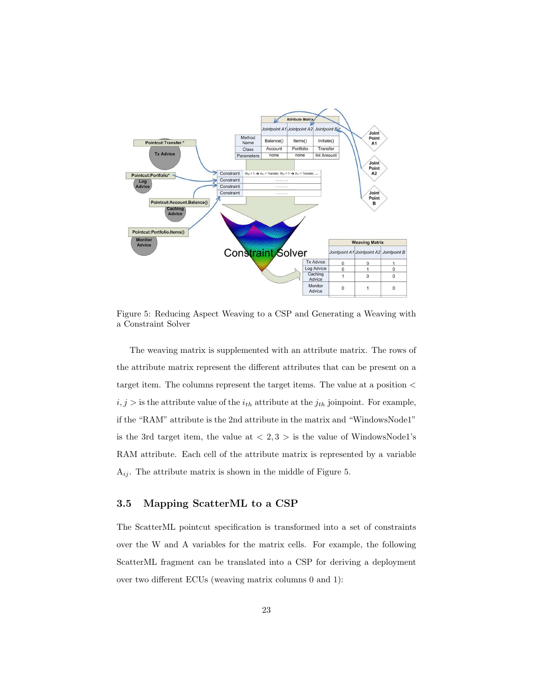

Figure 5: Reducing Aspect Weaving to a CSP and Generating a Weaving with a Constraint Solver

The weaving matrix is supplemented with an attribute matrix. The rows of the attribute matrix represent the different attributes that can be present on a target item. The columns represent the target items. The value at a position <  $i, j >$  is the attribute value of the  $i_{th}$  attribute at the  $j_{th}$  joinpoint. For example, if the "RAM" attribute is the 2nd attribute in the matrix and "WindowsNode1" is the 3rd target item, the value at  $\langle 2,3 \rangle$  is the value of WindowsNode1's RAM attribute. Each cell of the attribute matrix is represented by a variable  $A_{ij}$ . The attribute matrix is shown in the middle of Figure 5.

## 3.5 Mapping ScatterML to a CSP

The ScatterML pointcut specification is transformed into a set of constraints over the W and A variables for the matrix cells. For example, the following ScatterML fragment can be translated into a CSP for deriving a deployment over two different ECUs (weaving matrix columns 0 and 1):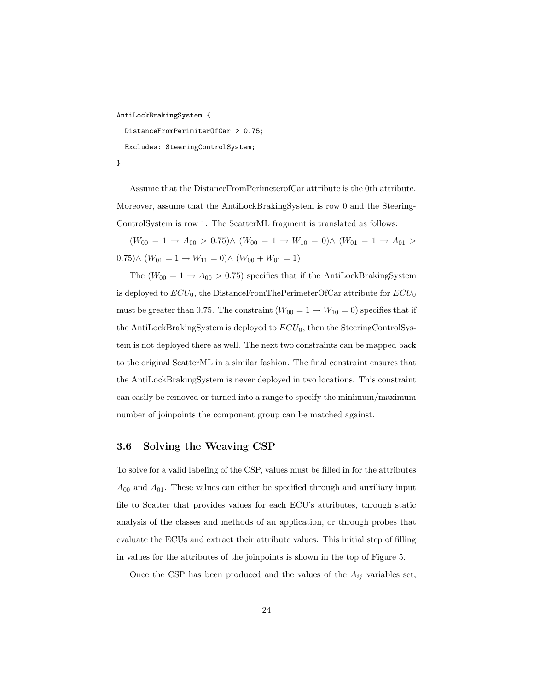```
AntiLockBrakingSystem {
  DistanceFromPerimiterOfCar > 0.75;
  Excludes: SteeringControlSystem;
```
}

Assume that the DistanceFromPerimeterofCar attribute is the 0th attribute. Moreover, assume that the AntiLockBrakingSystem is row 0 and the Steering-ControlSystem is row 1. The ScatterML fragment is translated as follows:

 $(W_{00} = 1 \rightarrow A_{00} > 0.75) \wedge (W_{00} = 1 \rightarrow W_{10} = 0) \wedge (W_{01} = 1 \rightarrow A_{01} > 0.75)$ 0.75)∧  $(W_{01} = 1 \rightarrow W_{11} = 0) \wedge (W_{00} + W_{01} = 1)$ 

The  $(W_{00} = 1 \rightarrow A_{00} > 0.75)$  specifies that if the AntiLockBrakingSystem is deployed to  $ECU_0$ , the DistanceFromThePerimeterOfCar attribute for  $ECU_0$ must be greater than 0.75. The constraint  $(W_{00} = 1 \rightarrow W_{10} = 0)$  specifies that if the AntiLockBrakingSystem is deployed to  $ECU_0$ , then the SteeringControlSystem is not deployed there as well. The next two constraints can be mapped back to the original ScatterML in a similar fashion. The final constraint ensures that the AntiLockBrakingSystem is never deployed in two locations. This constraint can easily be removed or turned into a range to specify the minimum/maximum number of joinpoints the component group can be matched against.

#### 3.6 Solving the Weaving CSP

To solve for a valid labeling of the CSP, values must be filled in for the attributes  $A_{00}$  and  $A_{01}$ . These values can either be specified through and auxiliary input file to Scatter that provides values for each ECU's attributes, through static analysis of the classes and methods of an application, or through probes that evaluate the ECUs and extract their attribute values. This initial step of filling in values for the attributes of the joinpoints is shown in the top of Figure 5.

Once the CSP has been produced and the values of the  $A_{ij}$  variables set,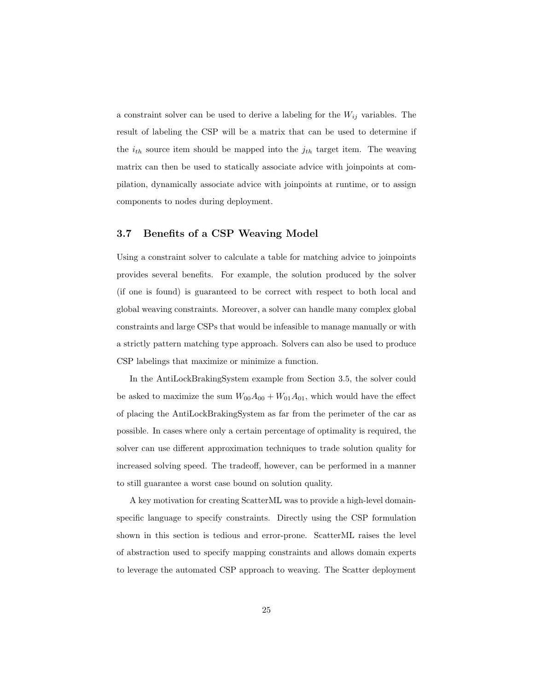a constraint solver can be used to derive a labeling for the  $W_{ij}$  variables. The result of labeling the CSP will be a matrix that can be used to determine if the  $i_{th}$  source item should be mapped into the  $j_{th}$  target item. The weaving matrix can then be used to statically associate advice with joinpoints at compilation, dynamically associate advice with joinpoints at runtime, or to assign components to nodes during deployment.

#### 3.7 Benefits of a CSP Weaving Model

Using a constraint solver to calculate a table for matching advice to joinpoints provides several benefits. For example, the solution produced by the solver (if one is found) is guaranteed to be correct with respect to both local and global weaving constraints. Moreover, a solver can handle many complex global constraints and large CSPs that would be infeasible to manage manually or with a strictly pattern matching type approach. Solvers can also be used to produce CSP labelings that maximize or minimize a function.

In the AntiLockBrakingSystem example from Section 3.5, the solver could be asked to maximize the sum  $W_{00}A_{00} + W_{01}A_{01}$ , which would have the effect of placing the AntiLockBrakingSystem as far from the perimeter of the car as possible. In cases where only a certain percentage of optimality is required, the solver can use different approximation techniques to trade solution quality for increased solving speed. The tradeoff, however, can be performed in a manner to still guarantee a worst case bound on solution quality.

A key motivation for creating ScatterML was to provide a high-level domainspecific language to specify constraints. Directly using the CSP formulation shown in this section is tedious and error-prone. ScatterML raises the level of abstraction used to specify mapping constraints and allows domain experts to leverage the automated CSP approach to weaving. The Scatter deployment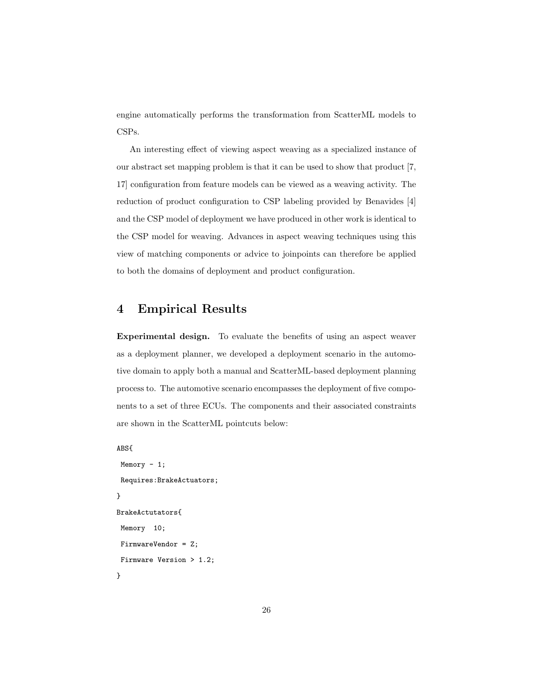engine automatically performs the transformation from ScatterML models to CSPs.

An interesting effect of viewing aspect weaving as a specialized instance of our abstract set mapping problem is that it can be used to show that product [7, 17] configuration from feature models can be viewed as a weaving activity. The reduction of product configuration to CSP labeling provided by Benavides [4] and the CSP model of deployment we have produced in other work is identical to the CSP model for weaving. Advances in aspect weaving techniques using this view of matching components or advice to joinpoints can therefore be applied to both the domains of deployment and product configuration.

# 4 Empirical Results

Experimental design. To evaluate the benefits of using an aspect weaver as a deployment planner, we developed a deployment scenario in the automotive domain to apply both a manual and ScatterML-based deployment planning process to. The automotive scenario encompasses the deployment of five components to a set of three ECUs. The components and their associated constraints are shown in the ScatterML pointcuts below:

```
ABS{
```

```
Memory - 1;
Requires:BrakeActuators;
}
BrakeActutators{
Memory 10;
FirmwareVendor = Z;
Firmware Version > 1.2;
}
```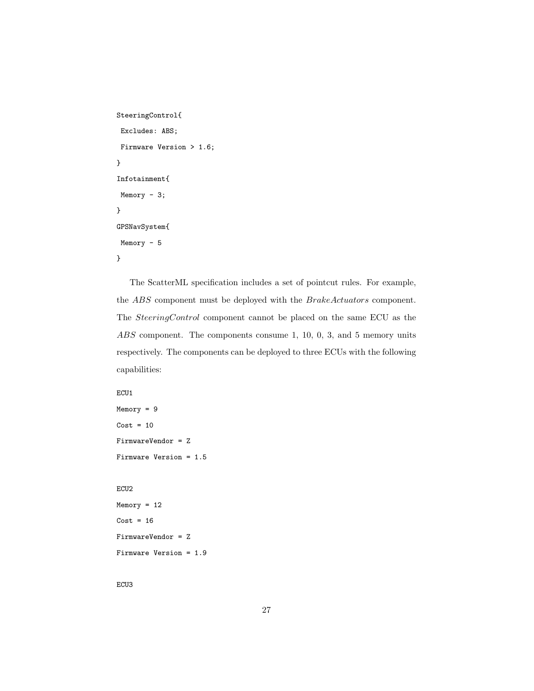```
SteeringControl{
Excludes: ABS;
Firmware Version > 1.6;
}
Infotainment{
Memory - 3;
}
GPSNavSystem{
Memory - 5
}
```
The ScatterML specification includes a set of pointcut rules. For example, the ABS component must be deployed with the BrakeActuators component. The SteeringControl component cannot be placed on the same ECU as the ABS component. The components consume 1, 10, 0, 3, and 5 memory units respectively. The components can be deployed to three ECUs with the following capabilities:

```
ECU1
```

```
Memory = 9
Cost = 10FirmwareVendor = Z
Firmware Version = 1.5
```
#### ECU2

```
Memory = 12
Cost = 16FirmwareVendor = Z
Firmware Version = 1.9
```
ECU3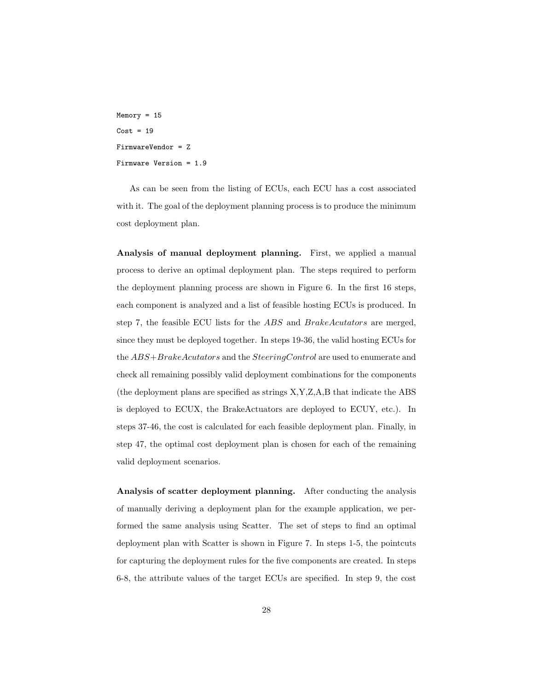$Memory = 15$  $Cost = 19$ FirmwareVendor = Z Firmware Version = 1.9

As can be seen from the listing of ECUs, each ECU has a cost associated with it. The goal of the deployment planning process is to produce the minimum cost deployment plan.

Analysis of manual deployment planning. First, we applied a manual process to derive an optimal deployment plan. The steps required to perform the deployment planning process are shown in Figure 6. In the first 16 steps, each component is analyzed and a list of feasible hosting ECUs is produced. In step 7, the feasible ECU lists for the ABS and BrakeAcutators are merged, since they must be deployed together. In steps 19-36, the valid hosting ECUs for the ABS+BrakeAcutators and the SteeringControl are used to enumerate and check all remaining possibly valid deployment combinations for the components (the deployment plans are specified as strings X,Y,Z,A,B that indicate the ABS is deployed to ECUX, the BrakeActuators are deployed to ECUY, etc.). In steps 37-46, the cost is calculated for each feasible deployment plan. Finally, in step 47, the optimal cost deployment plan is chosen for each of the remaining valid deployment scenarios.

Analysis of scatter deployment planning. After conducting the analysis of manually deriving a deployment plan for the example application, we performed the same analysis using Scatter. The set of steps to find an optimal deployment plan with Scatter is shown in Figure 7. In steps 1-5, the pointcuts for capturing the deployment rules for the five components are created. In steps 6-8, the attribute values of the target ECUs are specified. In step 9, the cost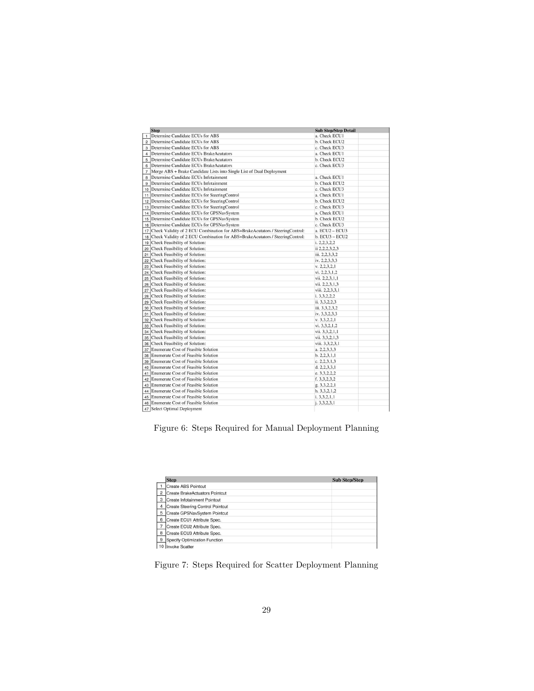|                | <b>Step</b>                                                                   | <b>Sub Step/Step Detail</b> |
|----------------|-------------------------------------------------------------------------------|-----------------------------|
| $\mathbf{1}$   | Determine Candidate ECUs for ABS                                              | a. Check ECU1               |
| $\overline{c}$ | Determine Candidate ECUs for ABS                                              | b. Check ECU2               |
| 3              | Determine Candidate ECUs for ABS                                              | c. Check ECU3               |
| $\overline{4}$ | Determine Candidate ECUs BrakeAcutators                                       | a. Check ECU1               |
| 5              | Determine Candidate ECUs BrakeAcutators                                       | b. Check ECU2               |
| 6              | Determine Candidate ECUs BrakeAcutators                                       | c. Check ECU3               |
| $\overline{7}$ | Merge ABS + Brake Candidate Lists into Single List of Dual Deployment         |                             |
| 8              | Determine Candidate ECUs Infotainment                                         | a. Check ECU1               |
| 9              | Determine Candidate ECUs Infotainment                                         | b. Check ECU2               |
| 10             | Determine Candidate ECUs Infotainment                                         | c. Check ECU3               |
| 11             | Determine Candidate ECUs for SteeringControl                                  | a. Check ECU1               |
| 12             | Determine Candidate ECUs for SteeringControl                                  | b. Check ECU2               |
| 13             | Determine Candidate ECUs for SteeringControl                                  | c. Check ECU3               |
| 14             | Determine Candidate ECUs for GPSNavSystem                                     | a. Check ECU1               |
| 15             | Determine Candidate ECUs for GPSNavSystem                                     | b. Check ECU2               |
| 16             | Determine Candidate ECUs for GPSNavSystem                                     | c. Check ECU3               |
| 17             | Check Validity of 2 ECU Combination for ABS+BrakeAcutators / SteeringControl: | a. ECU2 - ECU3              |
| 18             | Check Validity of 2 ECU Combination for ABS+BrakeAcutators / SteeringControl: | $b. ECU3 - ECU2$            |
| 19             | Check Feasibility of Solution:                                                | i. 2,2,3,2,2                |
| 20             | Check Feasibility of Solution:                                                | ii 2, 2, 2, 3, 2, 3         |
| 21             | Check Feasibility of Solution:                                                | iii. 2,2,3,3,2              |
| 22             | Check Feasibility of Solution:                                                | iv. 2,2,3,3,3               |
| 23             | Check Feasibility of Solution:                                                | v. 2, 2, 3, 2, 1            |
| 24             | Check Feasibility of Solution:                                                | vi. 2,2,3,1,2               |
| 25             | Check Feasibility of Solution:                                                | vii. 2.2.3.1.1              |
| 26             | Check Feasibility of Solution:                                                | vii. 2,2,3,1,3              |
| 27             | Check Feasibility of Solution:                                                | viii. 2,2,3,3,1             |
| 28             | Check Feasibility of Solution:                                                | i. 3,3,2,2,2                |
| 29             | Check Feasibility of Solution:                                                | ii. 3,3,2,2,3               |
| 30             | Check Feasibility of Solution:                                                | iii. 3.3.2.3.2              |
| 31             | Check Feasibility of Solution:                                                | iv. 3,3,2,3,3               |
| 32             | Check Feasibility of Solution:                                                | v. 3.3.2.2.1                |
| 33             | Check Feasibility of Solution:                                                | vi. 3,3,2,1,2               |
| 34             | Check Feasibility of Solution:                                                | vii. 3,3,2,1,1              |
| 35             | Check Feasibility of Solution:                                                | vii. 3,3,2,1,3              |
| 36             | Check Feasibility of Solution:                                                | viii. 3,3,2,3,1             |
| 37             | Enumerate Cost of Feasible Solution                                           | a. 2.2.3.3.3                |
| 38             | Enumerate Cost of Feasible Solution                                           | b. 2, 2, 3, 1, 1            |
| 39             | Enumerate Cost of Feasible Solution                                           | c. 2.2.3.1.3                |
| 40             | Enumerate Cost of Feasible Solution                                           | d. 2, 2, 3, 3, 1            |
| 41             | Enumerate Cost of Feasible Solution                                           | e. 3,3,2,2,2                |
| 42             | Enumerate Cost of Feasible Solution                                           | f. 3, 3, 2, 3, 2            |
| 43             | Enumerate Cost of Feasible Solution                                           | g. 3,3,2,2,1                |
| 44             | Enumerate Cost of Feasible Solution                                           | h. 3,3,2,1,2                |
| 45             | Enumerate Cost of Feasible Solution                                           | i. 3, 3, 2, 1, 1            |
| 46             | Enumerate Cost of Feasible Solution                                           | i. 3.3.2.3.1                |
|                | 47 Select Optimal Deployment                                                  |                             |

Figure 6: Steps Required for Manual Deployment Planning

|                | <b>Step</b>                      | <b>Sub Step/Step</b> |
|----------------|----------------------------------|----------------------|
|                | Create ABS Pointcut              |                      |
| $\overline{2}$ | Create BrakeActuators Pointcut   |                      |
| 3              | Create Infotainment Pointcut     |                      |
| $\overline{4}$ | Create Steering Control Pointcut |                      |
| 5              | Create GPSNavSystem Pointcut     |                      |
| 6              | Create ECU1 Attribute Spec.      |                      |
|                | Create ECU2 Attribute Spec.      |                      |
| 8              | Create ECU3 Attribute Spec.      |                      |
| 9              | Specify Optimization Function    |                      |
|                | Invoke Scatter                   |                      |

Figure 7: Steps Required for Scatter Deployment Planning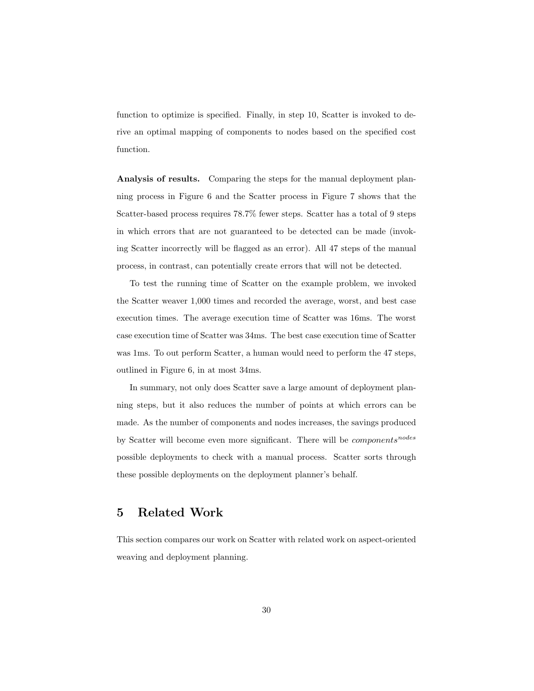function to optimize is specified. Finally, in step 10, Scatter is invoked to derive an optimal mapping of components to nodes based on the specified cost function.

Analysis of results. Comparing the steps for the manual deployment planning process in Figure 6 and the Scatter process in Figure 7 shows that the Scatter-based process requires 78.7% fewer steps. Scatter has a total of 9 steps in which errors that are not guaranteed to be detected can be made (invoking Scatter incorrectly will be flagged as an error). All 47 steps of the manual process, in contrast, can potentially create errors that will not be detected.

To test the running time of Scatter on the example problem, we invoked the Scatter weaver 1,000 times and recorded the average, worst, and best case execution times. The average execution time of Scatter was 16ms. The worst case execution time of Scatter was 34ms. The best case execution time of Scatter was 1ms. To out perform Scatter, a human would need to perform the 47 steps, outlined in Figure 6, in at most 34ms.

In summary, not only does Scatter save a large amount of deployment planning steps, but it also reduces the number of points at which errors can be made. As the number of components and nodes increases, the savings produced by Scatter will become even more significant. There will be  $components^{nodes}$ possible deployments to check with a manual process. Scatter sorts through these possible deployments on the deployment planner's behalf.

# 5 Related Work

This section compares our work on Scatter with related work on aspect-oriented weaving and deployment planning.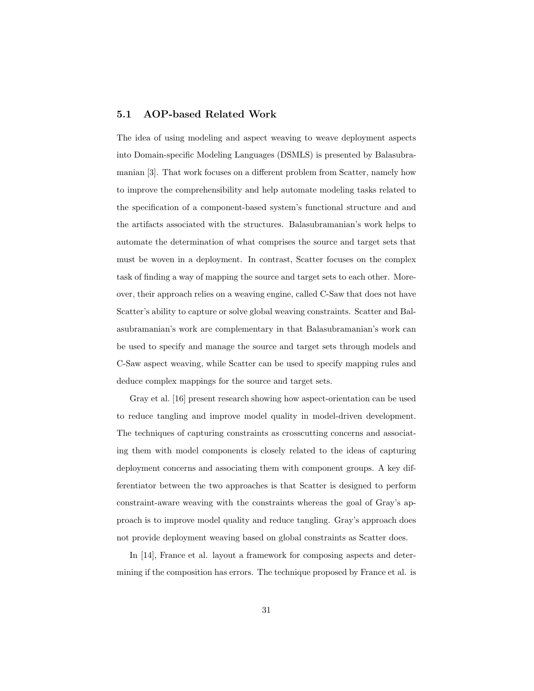#### 5.1 AOP-based Related Work

The idea of using modeling and aspect weaving to weave deployment aspects into Domain-specific Modeling Languages (DSMLS) is presented by Balasubramanian [3]. That work focuses on a different problem from Scatter, namely how to improve the comprehensibility and help automate modeling tasks related to the specification of a component-based system's functional structure and and the artifacts associated with the structures. Balasubramanian's work helps to automate the determination of what comprises the source and target sets that must be woven in a deployment. In contrast, Scatter focuses on the complex task of finding a way of mapping the source and target sets to each other. Moreover, their approach relies on a weaving engine, called C-Saw that does not have Scatter's ability to capture or solve global weaving constraints. Scatter and Balasubramanian's work are complementary in that Balasubramanian's work can be used to specify and manage the source and target sets through models and C-Saw aspect weaving, while Scatter can be used to specify mapping rules and deduce complex mappings for the source and target sets.

Gray et al. [16] present research showing how aspect-orientation can be used to reduce tangling and improve model quality in model-driven development. The techniques of capturing constraints as crosscutting concerns and associating them with model components is closely related to the ideas of capturing deployment concerns and associating them with component groups. A key differentiator between the two approaches is that Scatter is designed to perform constraint-aware weaving with the constraints whereas the goal of Gray's approach is to improve model quality and reduce tangling. Gray's approach does not provide deployment weaving based on global constraints as Scatter does.

In [14], France et al. layout a framework for composing aspects and determining if the composition has errors. The technique proposed by France et al. is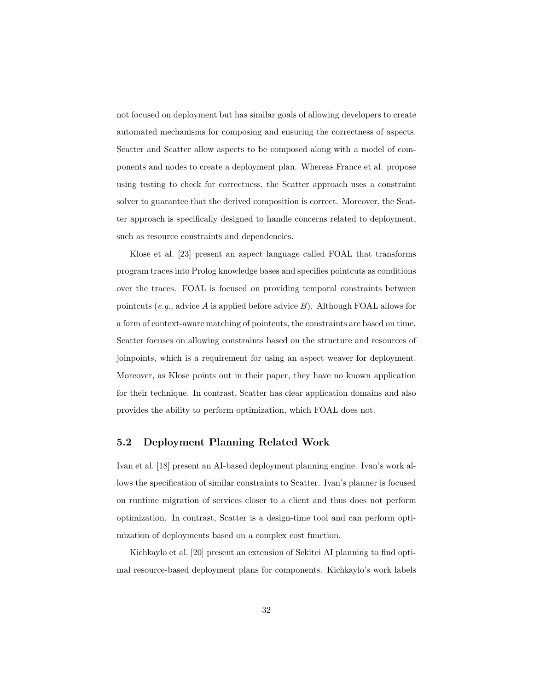not focused on deployment but has similar goals of allowing developers to create automated mechanisms for composing and ensuring the correctness of aspects. Scatter and Scatter allow aspects to be composed along with a model of components and nodes to create a deployment plan. Whereas France et al. propose using testing to check for correctness, the Scatter approach uses a constraint solver to guarantee that the derived composition is correct. Moreover, the Scatter approach is specifically designed to handle concerns related to deployment, such as resource constraints and dependencies.

Klose et al. [23] present an aspect language called FOAL that transforms program traces into Prolog knowledge bases and specifies pointcuts as conditions over the traces. FOAL is focused on providing temporal constraints between pointcuts (e.g., advice A is applied before advice B). Although FOAL allows for a form of context-aware matching of pointcuts, the constraints are based on time. Scatter focuses on allowing constraints based on the structure and resources of joinpoints, which is a requirement for using an aspect weaver for deployment. Moreover, as Klose points out in their paper, they have no known application for their technique. In contrast, Scatter has clear application domains and also provides the ability to perform optimization, which FOAL does not.

#### 5.2 Deployment Planning Related Work

Ivan et al. [18] present an AI-based deployment planning engine. Ivan's work allows the specification of similar constraints to Scatter. Ivan's planner is focused on runtime migration of services closer to a client and thus does not perform optimization. In contrast, Scatter is a design-time tool and can perform optimization of deployments based on a complex cost function.

Kichkaylo et al. [20] present an extension of Sekitei AI planning to find optimal resource-based deployment plans for components. Kichkaylo's work labels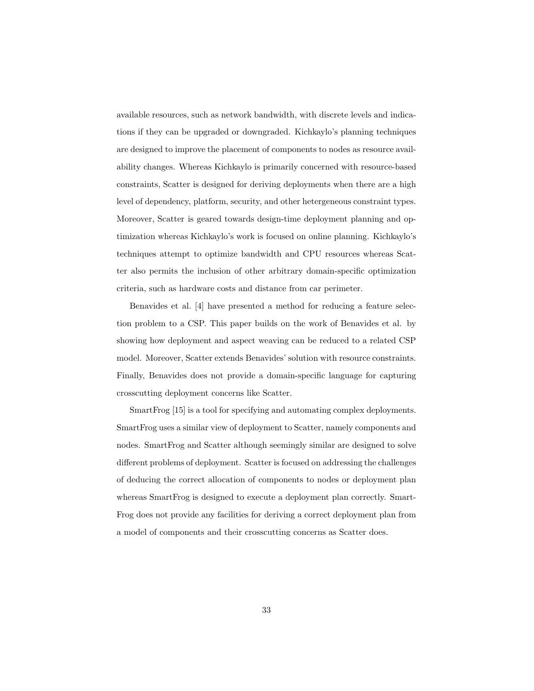available resources, such as network bandwidth, with discrete levels and indications if they can be upgraded or downgraded. Kichkaylo's planning techniques are designed to improve the placement of components to nodes as resource availability changes. Whereas Kichkaylo is primarily concerned with resource-based constraints, Scatter is designed for deriving deployments when there are a high level of dependency, platform, security, and other hetergeneous constraint types. Moreover, Scatter is geared towards design-time deployment planning and optimization whereas Kichkaylo's work is focused on online planning. Kichkaylo's techniques attempt to optimize bandwidth and CPU resources whereas Scatter also permits the inclusion of other arbitrary domain-specific optimization criteria, such as hardware costs and distance from car perimeter.

Benavides et al. [4] have presented a method for reducing a feature selection problem to a CSP. This paper builds on the work of Benavides et al. by showing how deployment and aspect weaving can be reduced to a related CSP model. Moreover, Scatter extends Benavides' solution with resource constraints. Finally, Benavides does not provide a domain-specific language for capturing crosscutting deployment concerns like Scatter.

SmartFrog [15] is a tool for specifying and automating complex deployments. SmartFrog uses a similar view of deployment to Scatter, namely components and nodes. SmartFrog and Scatter although seemingly similar are designed to solve different problems of deployment. Scatter is focused on addressing the challenges of deducing the correct allocation of components to nodes or deployment plan whereas SmartFrog is designed to execute a deployment plan correctly. Smart-Frog does not provide any facilities for deriving a correct deployment plan from a model of components and their crosscutting concerns as Scatter does.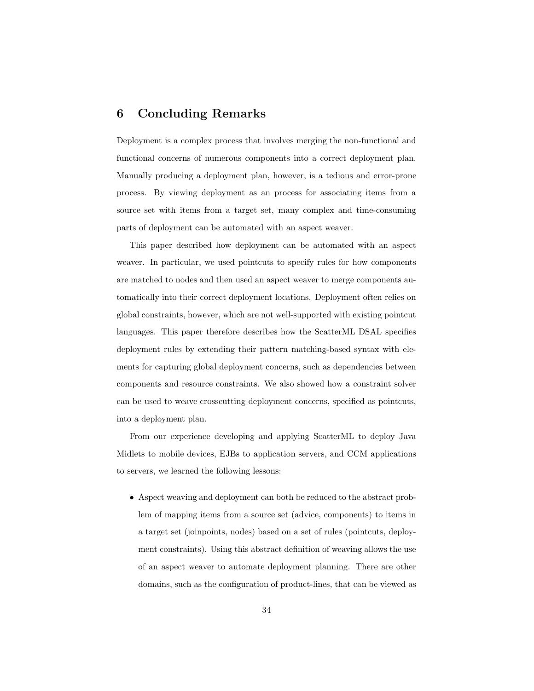# 6 Concluding Remarks

Deployment is a complex process that involves merging the non-functional and functional concerns of numerous components into a correct deployment plan. Manually producing a deployment plan, however, is a tedious and error-prone process. By viewing deployment as an process for associating items from a source set with items from a target set, many complex and time-consuming parts of deployment can be automated with an aspect weaver.

This paper described how deployment can be automated with an aspect weaver. In particular, we used pointcuts to specify rules for how components are matched to nodes and then used an aspect weaver to merge components automatically into their correct deployment locations. Deployment often relies on global constraints, however, which are not well-supported with existing pointcut languages. This paper therefore describes how the ScatterML DSAL specifies deployment rules by extending their pattern matching-based syntax with elements for capturing global deployment concerns, such as dependencies between components and resource constraints. We also showed how a constraint solver can be used to weave crosscutting deployment concerns, specified as pointcuts, into a deployment plan.

From our experience developing and applying ScatterML to deploy Java Midlets to mobile devices, EJBs to application servers, and CCM applications to servers, we learned the following lessons:

• Aspect weaving and deployment can both be reduced to the abstract problem of mapping items from a source set (advice, components) to items in a target set (joinpoints, nodes) based on a set of rules (pointcuts, deployment constraints). Using this abstract definition of weaving allows the use of an aspect weaver to automate deployment planning. There are other domains, such as the configuration of product-lines, that can be viewed as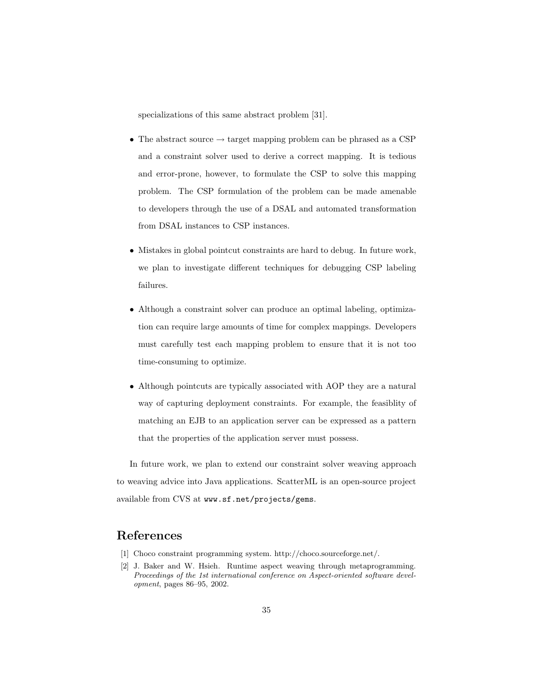specializations of this same abstract problem [31].

- The abstract source  $\rightarrow$  target mapping problem can be phrased as a CSP and a constraint solver used to derive a correct mapping. It is tedious and error-prone, however, to formulate the CSP to solve this mapping problem. The CSP formulation of the problem can be made amenable to developers through the use of a DSAL and automated transformation from DSAL instances to CSP instances.
- Mistakes in global pointcut constraints are hard to debug. In future work, we plan to investigate different techniques for debugging CSP labeling failures.
- Although a constraint solver can produce an optimal labeling, optimization can require large amounts of time for complex mappings. Developers must carefully test each mapping problem to ensure that it is not too time-consuming to optimize.
- Although pointcuts are typically associated with AOP they are a natural way of capturing deployment constraints. For example, the feasiblity of matching an EJB to an application server can be expressed as a pattern that the properties of the application server must possess.

In future work, we plan to extend our constraint solver weaving approach to weaving advice into Java applications. ScatterML is an open-source project available from CVS at www.sf.net/projects/gems.

# References

- [1] Choco constraint programming system. http://choco.sourceforge.net/.
- [2] J. Baker and W. Hsieh. Runtime aspect weaving through metaprogramming. Proceedings of the 1st international conference on Aspect-oriented software development, pages 86–95, 2002.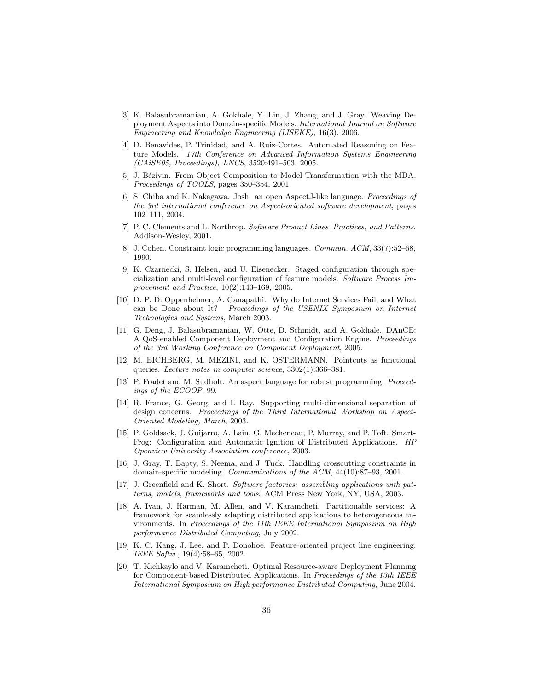- [3] K. Balasubramanian, A. Gokhale, Y. Lin, J. Zhang, and J. Gray. Weaving Deployment Aspects into Domain-specific Models. International Journal on Software Engineering and Knowledge Engineering (IJSEKE), 16(3), 2006.
- [4] D. Benavides, P. Trinidad, and A. Ruiz-Cortes. Automated Reasoning on Feature Models. 17th Conference on Advanced Information Systems Engineering (CAiSE05, Proceedings), LNCS, 3520:491–503, 2005.
- [5] J. Bézivin. From Object Composition to Model Transformation with the MDA. Proceedings of TOOLS, pages 350–354, 2001.
- [6] S. Chiba and K. Nakagawa. Josh: an open AspectJ-like language. Proceedings of the 3rd international conference on Aspect-oriented software development, pages 102–111, 2004.
- [7] P. C. Clements and L. Northrop. Software Product Lines Practices, and Patterns. Addison-Wesley, 2001.
- [8] J. Cohen. Constraint logic programming languages. Commun. ACM, 33(7):52–68, 1990.
- [9] K. Czarnecki, S. Helsen, and U. Eisenecker. Staged configuration through specialization and multi-level configuration of feature models. Software Process Improvement and Practice, 10(2):143–169, 2005.
- [10] D. P. D. Oppenheimer, A. Ganapathi. Why do Internet Services Fail, and What can be Done about It? Proceedings of the USENIX Symposium on Internet Technologies and Systems, March 2003.
- [11] G. Deng, J. Balasubramanian, W. Otte, D. Schmidt, and A. Gokhale. DAnCE: A QoS-enabled Component Deployment and Configuration Engine. Proceedings of the 3rd Working Conference on Component Deployment, 2005.
- [12] M. EICHBERG, M. MEZINI, and K. OSTERMANN. Pointcuts as functional queries. Lecture notes in computer science, 3302(1):366–381.
- [13] P. Fradet and M. Sudholt. An aspect language for robust programming. Proceedings of the ECOOP, 99.
- [14] R. France, G. Georg, and I. Ray. Supporting multi-dimensional separation of design concerns. Proceedings of the Third International Workshop on Aspect-Oriented Modeling, March, 2003.
- [15] P. Goldsack, J. Guijarro, A. Lain, G. Mecheneau, P. Murray, and P. Toft. Smart-Frog: Configuration and Automatic Ignition of Distributed Applications. HP Openview University Association conference, 2003.
- [16] J. Gray, T. Bapty, S. Neema, and J. Tuck. Handling crosscutting constraints in domain-specific modeling. Communications of the ACM, 44(10):87–93, 2001.
- [17] J. Greenfield and K. Short. Software factories: assembling applications with patterns, models, frameworks and tools. ACM Press New York, NY, USA, 2003.
- [18] A. Ivan, J. Harman, M. Allen, and V. Karamcheti. Partitionable services: A framework for seamlessly adapting distributed applications to heterogeneous environments. In Proceedings of the 11th IEEE International Symposium on High performance Distributed Computing, July 2002.
- [19] K. C. Kang, J. Lee, and P. Donohoe. Feature-oriented project line engineering. IEEE Softw., 19(4):58–65, 2002.
- [20] T. Kichkaylo and V. Karamcheti. Optimal Resource-aware Deployment Planning for Component-based Distributed Applications. In Proceedings of the 13th IEEE International Symposium on High performance Distributed Computing, June 2004.